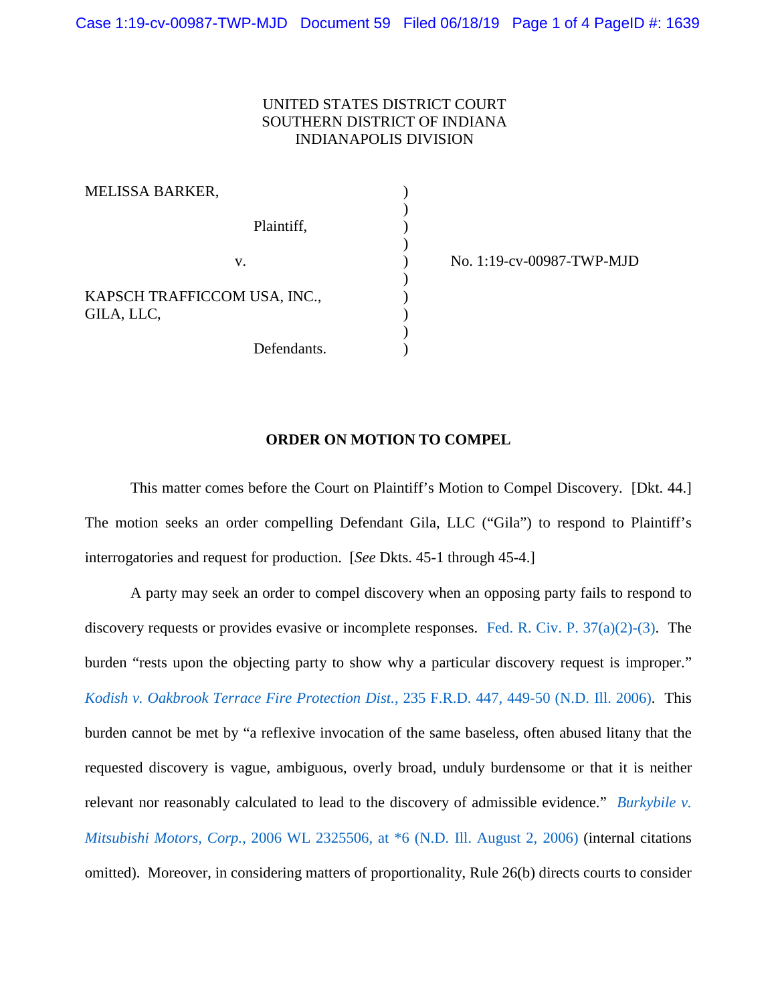## UNITED STATES DISTRICT COURT SOUTHERN DISTRICT OF INDIANA INDIANAPOLIS DIVISION

)

 $\mathcal{L}$ 

)

)

MELISSA BARKER, Plaintiff, (a) KAPSCH TRAFFICCOM USA, INC., GILA, LLC,  $\qquad \qquad$  )

Defendants.

v. ) No. 1:19-cv-00987-TWP-MJD

## **ORDER ON MOTION TO COMPEL**

This matter comes before the Court on Plaintiff's Motion to Compel Discovery. [Dkt. 44.] The motion seeks an order compelling Defendant Gila, LLC ("Gila") to respond to Plaintiff's interrogatories and request for production. [*See* Dkts. 45-1 through 45-4.]

A party may seek an order to compel discovery when an opposing party fails to respond to discovery requests or provides evasive or incomplete responses. [Fed. R. Civ. P. 37\(a\)\(2\)-\(3\).](https://www.westlaw.com/Document/NA31111F0B96511D8983DF34406B5929B/View/FullText.html?transitionType=Default&contextData=(sc.Default)&VR=3.0&RS=da3.0) The burden "rests upon the objecting party to show why a particular discovery request is improper." *[Kodish v. Oakbrook Terrace Fire Protection Dist.](https://www.westlaw.com/Document/Ief5e167ed3ab11da8c1a915a182e19db/View/FullText.html?transitionType=Default&contextData=(sc.Default)&VR=3.0&RS=da3.0&fragmentIdentifier=co_pp_sp_344_449)*, 235 F.R.D. 447, 449-50 (N.D. Ill. 2006). This burden cannot be met by "a reflexive invocation of the same baseless, often abused litany that the requested discovery is vague, ambiguous, overly broad, unduly burdensome or that it is neither relevant nor reasonably calculated to lead to the discovery of admissible evidence." *[Burkybile v.](https://www.westlaw.com/Document/I8576c45d294f11db80c2e56cac103088/View/FullText.html?transitionType=Default&contextData=(sc.Default)&VR=3.0&RS=da3.0&fragmentIdentifier=co_pp_sp_999_6)  Mitsubishi Motors, Corp.*[, 2006 WL 2325506, at \\*6 \(N.D. Ill. August 2, 2006\)](https://www.westlaw.com/Document/I8576c45d294f11db80c2e56cac103088/View/FullText.html?transitionType=Default&contextData=(sc.Default)&VR=3.0&RS=da3.0&fragmentIdentifier=co_pp_sp_999_6) (internal citations omitted). Moreover, in considering matters of proportionality, Rule 26(b) directs courts to consider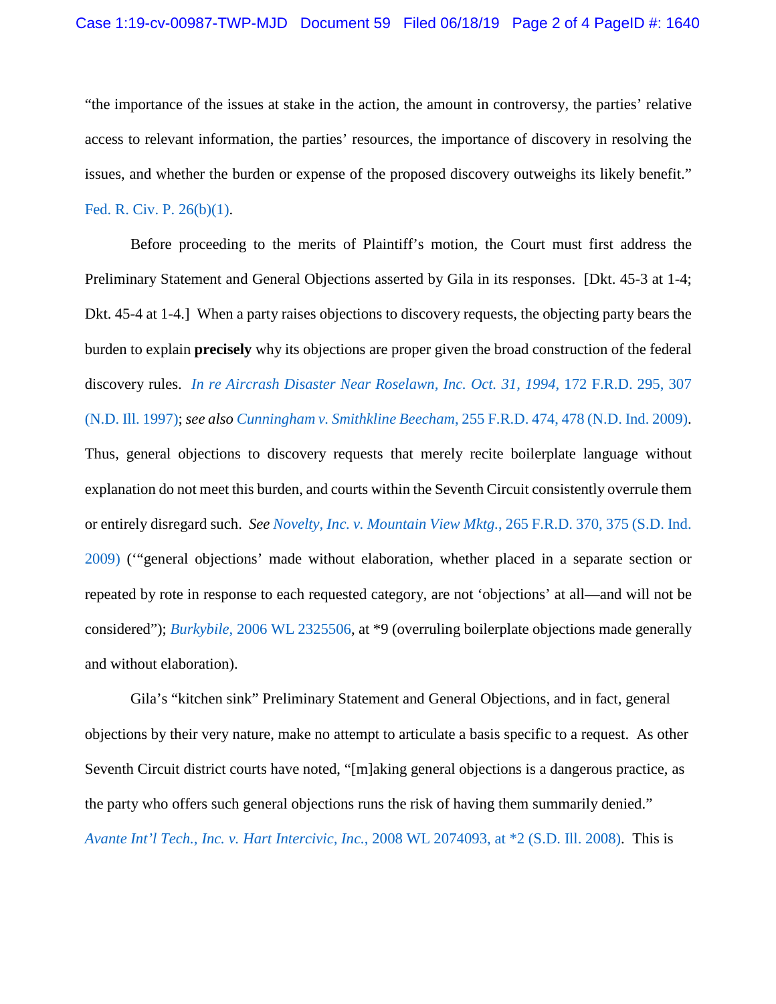"the importance of the issues at stake in the action, the amount in controversy, the parties' relative access to relevant information, the parties' resources, the importance of discovery in resolving the issues, and whether the burden or expense of the proposed discovery outweighs its likely benefit."

## [Fed. R. Civ. P. 26\(b\)\(1\).](https://www.westlaw.com/Document/NCBF83860B96411D8983DF34406B5929B/View/FullText.html?transitionType=Default&contextData=(sc.Default)&VR=3.0&RS=da3.0)

Before proceeding to the merits of Plaintiff's motion, the Court must first address the Preliminary Statement and General Objections asserted by Gila in its responses. [Dkt. 45-3 at 1-4; Dkt. 45-4 at 1-4.] When a party raises objections to discovery requests, the objecting party bears the burden to explain **precisely** why its objections are proper given the broad construction of the federal discovery rules. *[In re Aircrash Disaster Near Roselawn, Inc. Oct. 31, 1994](https://www.westlaw.com/Document/I12c5606a565e11d9bf30d7fdf51b6bd4/View/FullText.html?transitionType=Default&contextData=(sc.Default)&VR=3.0&RS=da3.0&fragmentIdentifier=co_pp_sp_344_307)*, 172 F.R.D. 295, 307 [\(N.D. Ill. 1997\);](https://www.westlaw.com/Document/I12c5606a565e11d9bf30d7fdf51b6bd4/View/FullText.html?transitionType=Default&contextData=(sc.Default)&VR=3.0&RS=da3.0&fragmentIdentifier=co_pp_sp_344_307) *see also Cunningham v. Smithkline Beecham*[, 255 F.R.D. 474, 478 \(N.D. Ind. 2009\).](https://www.westlaw.com/Document/I30ef04ccf2c611ddb5cbad29a280d47c/View/FullText.html?transitionType=Default&contextData=(sc.Default)&VR=3.0&RS=da3.0&fragmentIdentifier=co_pp_sp_344_478)

Thus, general objections to discovery requests that merely recite boilerplate language without explanation do not meet this burden, and courts within the Seventh Circuit consistently overrule them or entirely disregard such. *Se[e Novelty, Inc. v. Mountain View Mktg.](https://www.westlaw.com/Document/I64aa7df0c3b711de8bf6cd8525c41437/View/FullText.html?transitionType=Default&contextData=(sc.Default)&VR=3.0&RS=da3.0&fragmentIdentifier=co_pp_sp_344_375)*, 265 F.R.D. 370, 375 (S.D. Ind. [2009\)](https://www.westlaw.com/Document/I64aa7df0c3b711de8bf6cd8525c41437/View/FullText.html?transitionType=Default&contextData=(sc.Default)&VR=3.0&RS=da3.0&fragmentIdentifier=co_pp_sp_344_375) ('"general objections' made without elaboration, whether placed in a separate section or repeated by rote in response to each requested category, are not 'objections' at all—and will not be considered"); *Burkybile*[, 2006 WL 2325506,](https://www.westlaw.com/Document/I8576c45d294f11db80c2e56cac103088/View/FullText.html?transitionType=Default&contextData=(sc.Default)&VR=3.0&RS=da3.0) at \*9 (overruling boilerplate objections made generally and without elaboration).

Gila's "kitchen sink" Preliminary Statement and General Objections, and in fact, general objections by their very nature, make no attempt to articulate a basis specific to a request. As other Seventh Circuit district courts have noted, "[m]aking general objections is a dangerous practice, as the party who offers such general objections runs the risk of having them summarily denied." *[Avante Int'l Tech., Inc. v. Hart Intercivic, Inc.](https://www.westlaw.com/Document/I5961e8bd240811dd8dba9deb08599717/View/FullText.html?transitionType=Default&contextData=(sc.Default)&VR=3.0&RS=da3.0&fragmentIdentifier=co_pp_sp_999_2)*, 2008 WL 2074093, at \*2 (S.D. Ill. 2008). This is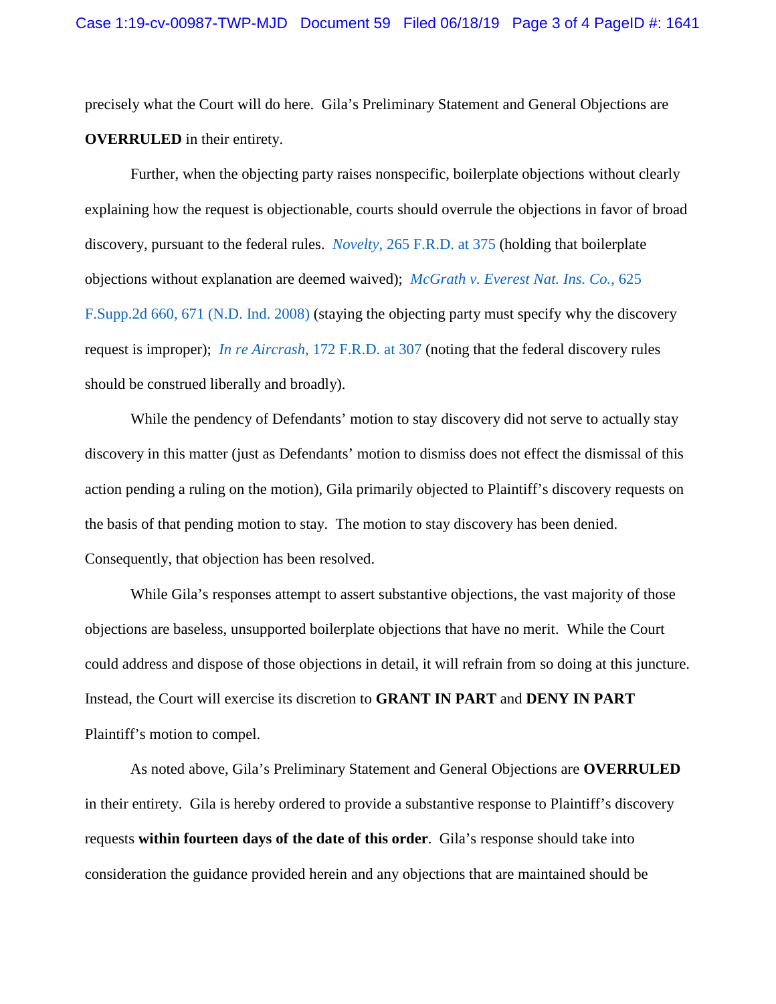precisely what the Court will do here. Gila's Preliminary Statement and General Objections are **OVERRULED** in their entirety.

 Further, when the objecting party raises nonspecific, boilerplate objections without clearly explaining how the request is objectionable, courts should overrule the objections in favor of broad discovery, pursuant to the federal rules. *Novelty*[, 265 F.R.D. at 375](https://www.westlaw.com/Document/I64aa7df0c3b711de8bf6cd8525c41437/View/FullText.html?transitionType=Default&contextData=(sc.Default)&VR=3.0&RS=da3.0&fragmentIdentifier=co_pp_sp_344_375) (holding that boilerplate objections without explanation are deemed waived); *[McGrath v. Everest Nat. Ins. Co.](https://www.westlaw.com/Document/I9c15d75f437311dd9876f446780b7bdc/View/FullText.html?transitionType=Default&contextData=(sc.Default)&VR=3.0&RS=da3.0&fragmentIdentifier=co_pp_sp_4637_671)*, 625 [F.Supp.2d 660, 671 \(N.D. Ind. 2008\)](https://www.westlaw.com/Document/I9c15d75f437311dd9876f446780b7bdc/View/FullText.html?transitionType=Default&contextData=(sc.Default)&VR=3.0&RS=da3.0&fragmentIdentifier=co_pp_sp_4637_671) (staying the objecting party must specify why the discovery request is improper); *In re Aircrash*[, 172 F.R.D. at 307](https://www.westlaw.com/Document/I12c5606a565e11d9bf30d7fdf51b6bd4/View/FullText.html?transitionType=Default&contextData=(sc.Default)&VR=3.0&RS=da3.0&fragmentIdentifier=co_pp_sp_344_307) (noting that the federal discovery rules should be construed liberally and broadly).

 While the pendency of Defendants' motion to stay discovery did not serve to actually stay discovery in this matter (just as Defendants' motion to dismiss does not effect the dismissal of this action pending a ruling on the motion), Gila primarily objected to Plaintiff's discovery requests on the basis of that pending motion to stay. The motion to stay discovery has been denied. Consequently, that objection has been resolved.

While Gila's responses attempt to assert substantive objections, the vast majority of those objections are baseless, unsupported boilerplate objections that have no merit. While the Court could address and dispose of those objections in detail, it will refrain from so doing at this juncture. Instead, the Court will exercise its discretion to **GRANT IN PART** and **DENY IN PART** Plaintiff's motion to compel.

 As noted above, Gila's Preliminary Statement and General Objections are **OVERRULED** in their entirety. Gila is hereby ordered to provide a substantive response to Plaintiff's discovery requests **within fourteen days of the date of this order**. Gila's response should take into consideration the guidance provided herein and any objections that are maintained should be